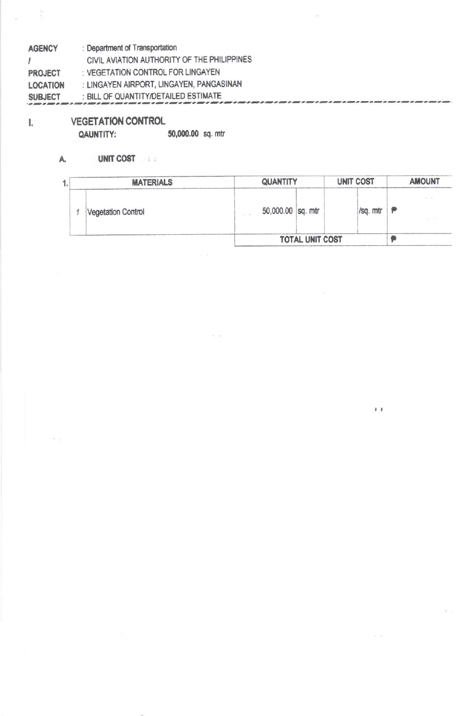| <b>AGENCY</b>   | : Department of Transportation              |
|-----------------|---------------------------------------------|
| $\prime$        | CIVIL AVIATION AUTHORITY OF THE PHILIPPINES |
| <b>PROJECT</b>  | : VEGETATION CONTROL FOR LINGAYEN           |
| <b>LOCATION</b> | : LINGAYEN AIRPORT, LINGAYEN, PANGASINAN    |
| <b>SUBJECT</b>  | : BILL OF QUANTITY/DETAILED ESTIMATE        |

**VEGETATION CONTROL** 

QAUNTITY:

 $\hat{\gamma}$ 

 $\mathbb{I}.$ 

50,000.00 sq. mtr

#### UNIT COST A.

| 1. | <b>MATERIALS</b>          | <b>QUANTITY</b> |                   | <b>UNIT COST</b> | <b>AMOUNT</b> |  |
|----|---------------------------|-----------------|-------------------|------------------|---------------|--|
|    | <b>Vegetation Control</b> |                 | 50,000.00 sq. mtr | /sq. mtr         | $-1$<br>F     |  |
|    |                           |                 | TOTAL UNIT COST   |                  |               |  |

 $\bullet$   $\bullet$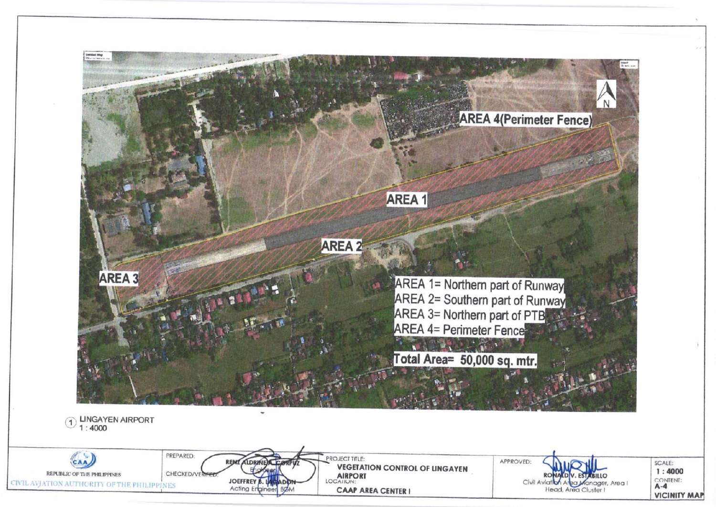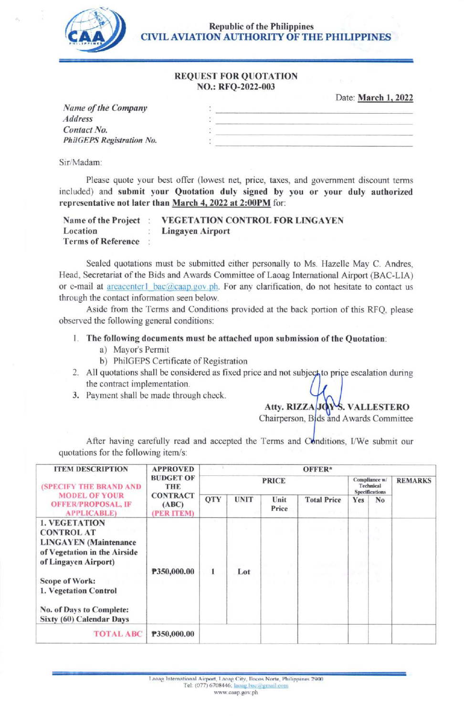

Republic of the Philippines CIVIL AVIATION AUTHORITY OF THE PHILIPPINES

#### **REQUEST FOR QUOTATION** NO.: RFQ-2022-003

Date: March 1, 2022

| Name of the Company       |  |
|---------------------------|--|
| <b>Address</b>            |  |
| Contact No.               |  |
| PhilGEPS Registration No. |  |
|                           |  |

Sir/Madam:

Please quote your best offer (lowest net, price, taxes, and govemment discount terms included) and submit your Quotation duly signed by you or your duly authorized representative not later than March 4, 2022 at 2:00PM for:

| Name of the Project       | <b>VEGETATION CONTROL FOR LINGAYEN</b> |
|---------------------------|----------------------------------------|
| Location                  | <b>Lingayen Airport</b>                |
| <b>Terms of Reference</b> |                                        |

Sealed quotations must be submitted either personally to Ms. Hazelle May C. Andres, Head, Secretariat of the Bids and Awards Committee of Laoag International Airport (BAC-LIA) or e-mail at areacenter l-bac@caap.gov.ph. For any clarification, do not hesitate to contact us through the contact information seen below.

Aside from the Terms and Conditions provided at the back portion of this RFQ, please observed the following general conditions:

## <sup>I</sup>. The following documents must be attached upon submission of the Quotation:

- a) Mayor's Permit
- b) PhiIGEPS Certificate of Registration
- 2. All quotations shall be considered as fixed price and not subject to price escalation during the contract implementation.
- 3. Payment shall be made through check

Atty. RIZZA JOYS. VALLESTERO

Chairperson, Bids and Awards Committee

After having carefully read and accepted the Terms and Conditions, I/We submit our quotations for the following item/s:

| <b>ITEM DESCRIPTION</b>                                                                                                                                                                                                              | <b>APPROVED</b>                                                          | OFFER*       |             |               |                                      |                                                     |                |                |
|--------------------------------------------------------------------------------------------------------------------------------------------------------------------------------------------------------------------------------------|--------------------------------------------------------------------------|--------------|-------------|---------------|--------------------------------------|-----------------------------------------------------|----------------|----------------|
| (SPECIFY THE BRAND AND                                                                                                                                                                                                               | <b>BUDGET OF</b><br><b>THE</b><br><b>CONTRACT</b><br>(ABC)<br>(PER ITEM) | <b>PRICE</b> |             |               |                                      | Compliance w/<br>Technical<br><b>Specifications</b> |                | <b>REMARKS</b> |
| <b>MODEL OF YOUR</b><br><b>OFFER/PROPOSAL, IF</b><br><b>APPLICABLE)</b>                                                                                                                                                              |                                                                          | QTY          | <b>UNIT</b> | Unit<br>Price | <b>Total Price</b><br><b>BOOK</b> AT | Yes<br><b>TOWER</b>                                 | N <sub>0</sub> |                |
| <b>1. VEGETATION</b><br><b>CONTROL AT</b><br><b>LINGAYEN</b> (Maintenance<br>of Vegetation in the Airside<br>of Lingayen Airport)<br>Scope of Work:<br>1. Vegetation Control<br>No. of Days to Complete:<br>Sixty (60) Calendar Days | P350,000.00                                                              | 1            | Lot         |               |                                      | alte and<br>any and                                 | <b>TIM</b>     |                |
| <b>TOTAL ABC</b>                                                                                                                                                                                                                     | P350,000.00                                                              |              |             |               |                                      |                                                     |                |                |